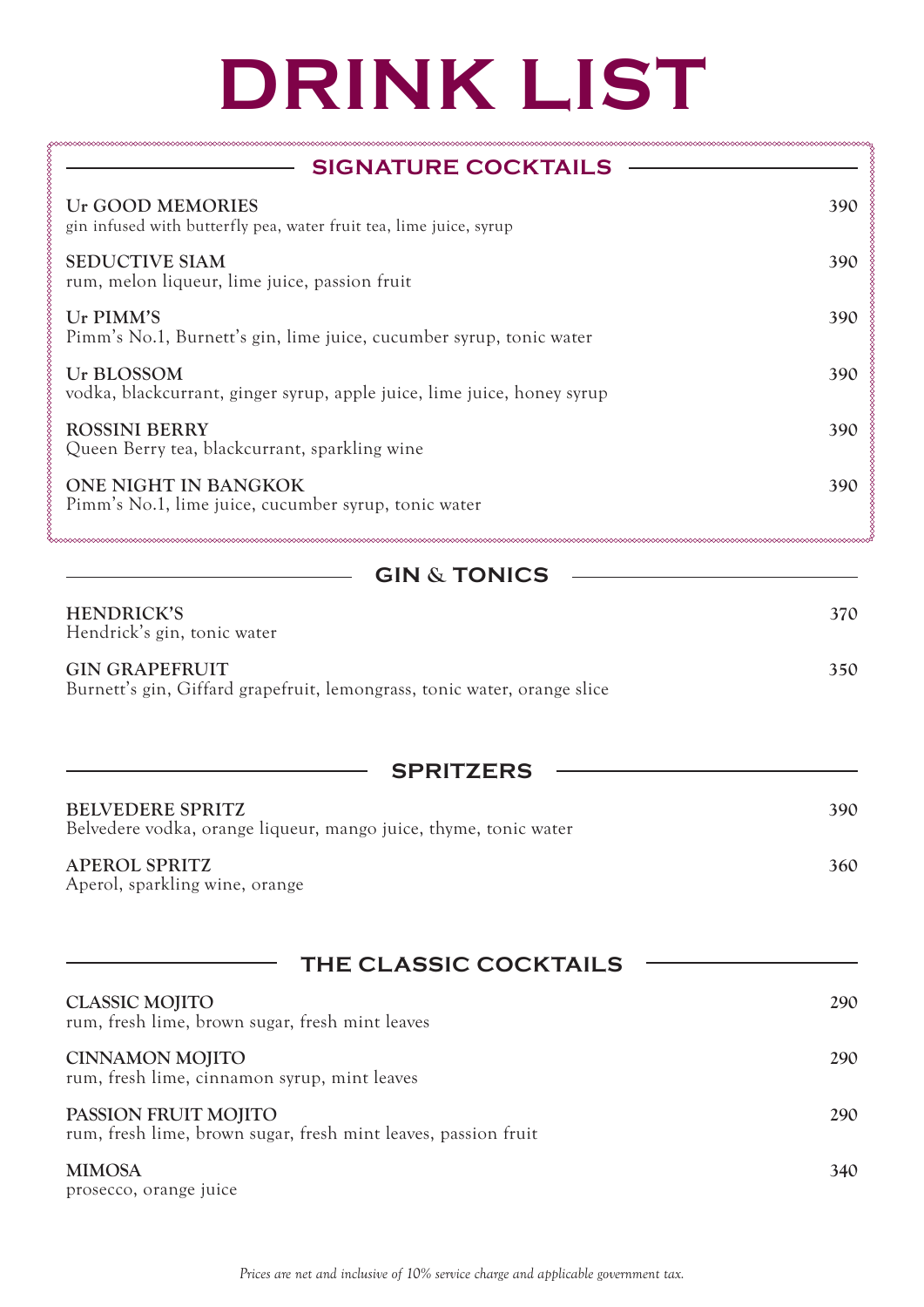## **DRINK LIST**

| <b>SIGNATURE COCKTAILS</b>                                                                        |     |
|---------------------------------------------------------------------------------------------------|-----|
| Ur GOOD MEMORIES<br>gin infused with butterfly pea, water fruit tea, lime juice, syrup            | 390 |
| <b>SEDUCTIVE SIAM</b><br>rum, melon liqueur, lime juice, passion fruit                            | 390 |
| Ur PIMM'S<br>Pimm's No.1, Burnett's gin, lime juice, cucumber syrup, tonic water                  | 390 |
| Ur BLOSSOM<br>vodka, blackcurrant, ginger syrup, apple juice, lime juice, honey syrup             | 390 |
| <b>ROSSINI BERRY</b><br>Queen Berry tea, blackcurrant, sparkling wine                             | 390 |
| ONE NIGHT IN BANGKOK<br>Pimm's No.1, lime juice, cucumber syrup, tonic water                      | 390 |
| <b>GIN &amp; TONICS</b>                                                                           |     |
| <b>HENDRICK'S</b><br>Hendrick's gin, tonic water                                                  | 370 |
| <b>GIN GRAPEFRUIT</b><br>Burnett's gin, Giffard grapefruit, lemongrass, tonic water, orange slice | 350 |
| <b>SPRITZERS</b>                                                                                  |     |
| <b>BELVEDERE SPRITZ</b><br>Belvedere vodka, orange liqueur, mango juice, thyme, tonic water       | 390 |
| <b>APEROL SPRITZ</b><br>Aperol, sparkling wine, orange                                            | 360 |
| <b>THE CLASSIC COCKTAILS</b>                                                                      |     |
| <b>CLASSIC MOJITO</b><br>rum, fresh lime, brown sugar, fresh mint leaves                          | 290 |
| <b>CINNAMON MOJITO</b><br>rum, fresh lime, cinnamon syrup, mint leaves                            | 290 |
| PASSION FRUIT MOJITO<br>rum, fresh lime, brown sugar, fresh mint leaves, passion fruit            | 290 |
| <b>MIMOSA</b><br>prosecco, orange juice                                                           | 340 |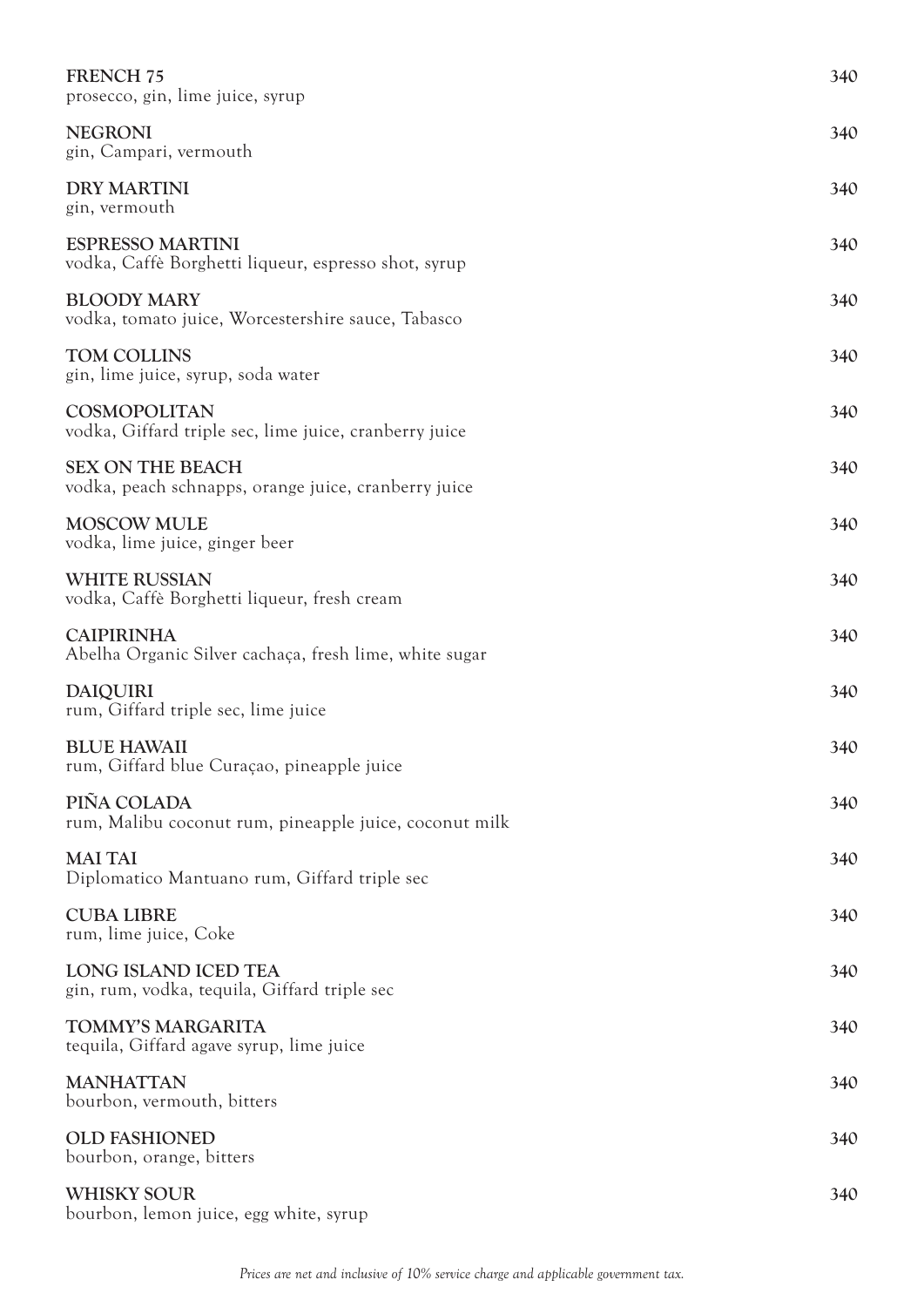| <b>FRENCH 75</b><br>prosecco, gin, lime juice, syrup                            | 340 |
|---------------------------------------------------------------------------------|-----|
| <b>NEGRONI</b><br>gin, Campari, vermouth                                        | 340 |
| <b>DRY MARTINI</b><br>gin, vermouth                                             | 340 |
| <b>ESPRESSO MARTINI</b><br>vodka, Caffè Borghetti liqueur, espresso shot, syrup | 340 |
| <b>BLOODY MARY</b><br>vodka, tomato juice, Worcestershire sauce, Tabasco        | 340 |
| <b>TOM COLLINS</b><br>gin, lime juice, syrup, soda water                        | 340 |
| COSMOPOLITAN<br>vodka, Giffard triple sec, lime juice, cranberry juice          | 340 |
| <b>SEX ON THE BEACH</b><br>vodka, peach schnapps, orange juice, cranberry juice | 340 |
| <b>MOSCOW MULE</b><br>vodka, lime juice, ginger beer                            | 340 |
| <b>WHITE RUSSIAN</b><br>vodka, Caffè Borghetti liqueur, fresh cream             | 340 |
| <b>CAIPIRINHA</b><br>Abelha Organic Silver cachaça, fresh lime, white sugar     | 340 |
| <b>DAIQUIRI</b><br>rum, Giffard triple sec, lime juice                          | 340 |
| <b>BLUE HAWAII</b><br>rum, Giffard blue Curaçao, pineapple juice                | 340 |
| PIÑA COLADA<br>rum, Malibu coconut rum, pineapple juice, coconut milk           | 340 |
| <b>MAI TAI</b><br>Diplomatico Mantuano rum, Giffard triple sec                  | 340 |
| <b>CUBA LIBRE</b><br>rum, lime juice, Coke                                      | 340 |
| LONG ISLAND ICED TEA<br>gin, rum, vodka, tequila, Giffard triple sec            | 340 |
| TOMMY'S MARGARITA<br>tequila, Giffard agave syrup, lime juice                   | 340 |
| <b>MANHATTAN</b><br>bourbon, vermouth, bitters                                  | 340 |
| <b>OLD FASHIONED</b><br>bourbon, orange, bitters                                | 340 |
| <b>WHISKY SOUR</b><br>bourbon, lemon juice, egg white, syrup                    | 340 |

*Prices are net and inclusive of 10% service charge and applicable government tax.*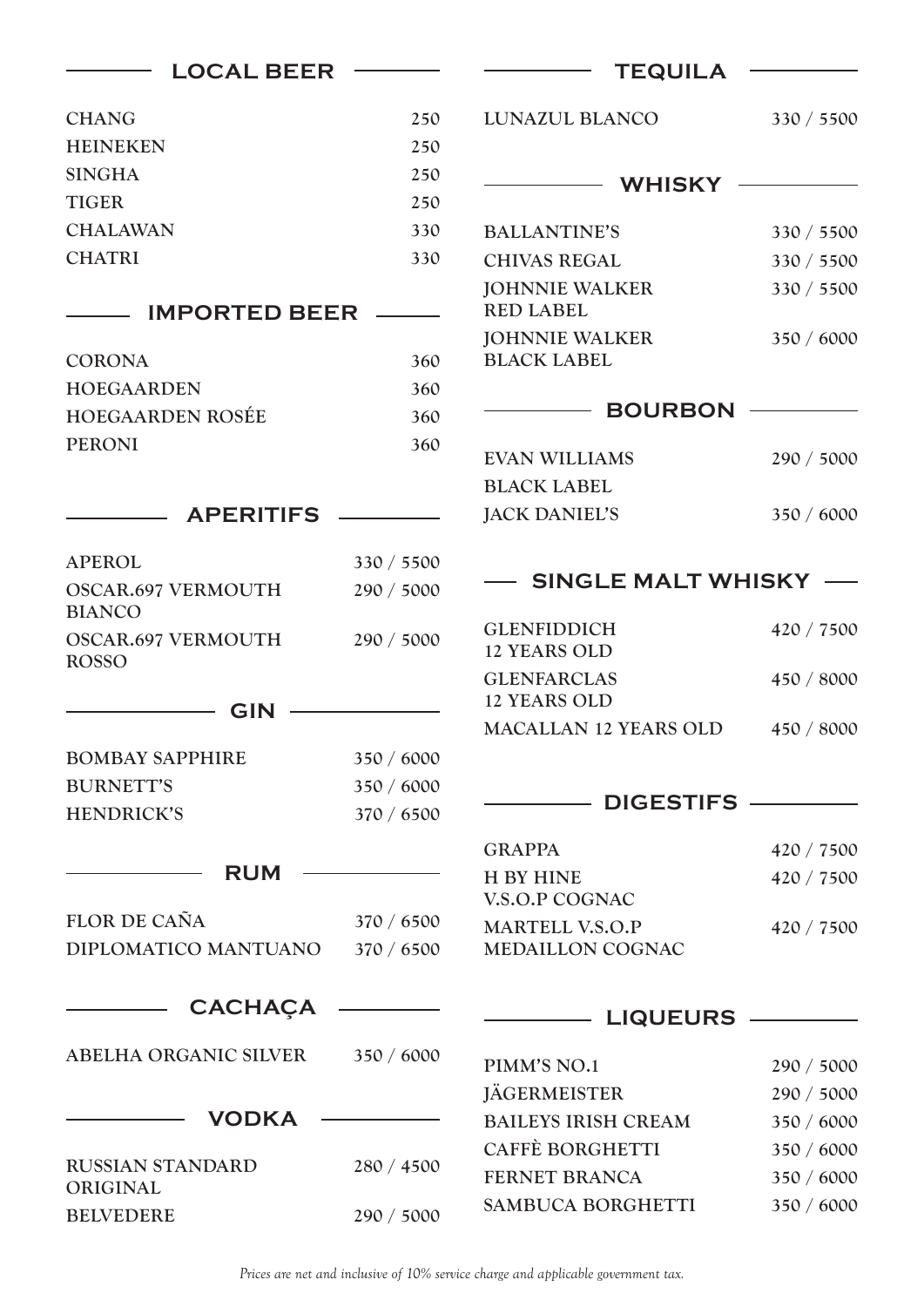| <b>LOCAL BEER</b>                          |            | <b>TEQUILA</b>                              |            |  |
|--------------------------------------------|------------|---------------------------------------------|------------|--|
| <b>CHANG</b>                               | 250        | LUNAZUL BLANCO                              | 330 / 5500 |  |
| <b>HEINEKEN</b>                            | 250        |                                             |            |  |
| <b>SINGHA</b>                              | 250        | <b>WHISKY</b>                               |            |  |
| <b>TIGER</b>                               | 250        |                                             |            |  |
| <b>CHALAWAN</b>                            | 330        | <b>BALLANTINE'S</b>                         | 330 / 5500 |  |
| <b>CHATRI</b>                              | 330        | <b>CHIVAS REGAL</b>                         | 330 / 5500 |  |
|                                            |            | <b>JOHNNIE WALKER</b>                       | 330 / 5500 |  |
| <b>IMPORTED BEER</b>                       |            | <b>RED LABEL</b>                            |            |  |
| <b>CORONA</b>                              | 360        | <b>JOHNNIE WALKER</b><br><b>BLACK LABEL</b> | 350 / 6000 |  |
| <b>HOEGAARDEN</b>                          | 360        |                                             |            |  |
| <b>HOEGAARDEN ROSÉE</b>                    | 360        | <b>BOURBON</b>                              |            |  |
| <b>PERONI</b>                              | 360        |                                             |            |  |
|                                            |            | <b>EVAN WILLIAMS</b>                        | 290 / 5000 |  |
|                                            |            | <b>BLACK LABEL</b>                          |            |  |
| <b>APERITIFS</b>                           |            | <b>JACK DANIEL'S</b>                        | 350 / 6000 |  |
| <b>APEROL</b>                              | 330 / 5500 |                                             |            |  |
| <b>OSCAR.697 VERMOUTH</b><br><b>BIANCO</b> | 290 / 5000 | <b>SINGLE MALT WHISKY</b>                   |            |  |
| <b>OSCAR.697 VERMOUTH</b>                  | 290 / 5000 | <b>GLENFIDDICH</b>                          | 420 / 7500 |  |
| <b>ROSSO</b>                               |            | <b>12 YEARS OLD</b>                         |            |  |
|                                            |            | <b>GLENFARCLAS</b><br><b>12 YEARS OLD</b>   | 450 / 8000 |  |
| <b>GIN</b>                                 |            | <b>MACALLAN 12 YEARS OLD</b>                | 450 / 8000 |  |
| <b>BOMBAY SAPPHIRE</b>                     | 350 / 6000 |                                             |            |  |
| <b>BURNETT'S</b>                           | 350 / 6000 |                                             |            |  |
| <b>HENDRICK'S</b>                          | 370 / 6500 | <b>DIGESTIFS</b>                            |            |  |
|                                            |            | <b>GRAPPA</b>                               | 420 / 7500 |  |
| <b>RUM</b>                                 |            | <b>H BY HINE</b>                            | 420 / 7500 |  |
|                                            |            | V.S.O.P COGNAC                              |            |  |
| FLOR DE CAÑA                               | 370 / 6500 | <b>MARTELL V.S.O.P</b>                      | 420 / 7500 |  |
| DIPLOMATICO MANTUANO                       | 370 / 6500 | <b>MEDAILLON COGNAC</b>                     |            |  |
| <b>CACHAÇA</b>                             |            | <b>LIQUEURS</b>                             |            |  |
| ABELHA ORGANIC SILVER                      | 350 / 6000 |                                             |            |  |
|                                            |            | PIMM'S NO.1                                 | 290 / 5000 |  |
|                                            |            | <b>JÄGERMEISTER</b>                         | 290 / 5000 |  |
| <b>VODKA</b>                               |            | <b>BAILEYS IRISH CREAM</b>                  | 350 / 6000 |  |
| <b>RUSSIAN STANDARD</b>                    | 280 / 4500 | <b>CAFFÈ BORGHETTI</b>                      | 350 / 6000 |  |
| ORIGINAL                                   |            | <b>FERNET BRANCA</b>                        | 350 / 6000 |  |
| <b>BELVEDERE</b>                           | 290 / 5000 | SAMBUCA BORGHETTI                           | 350 / 6000 |  |

*Prices are net and inclusive of 10% service charge and applicable government tax.*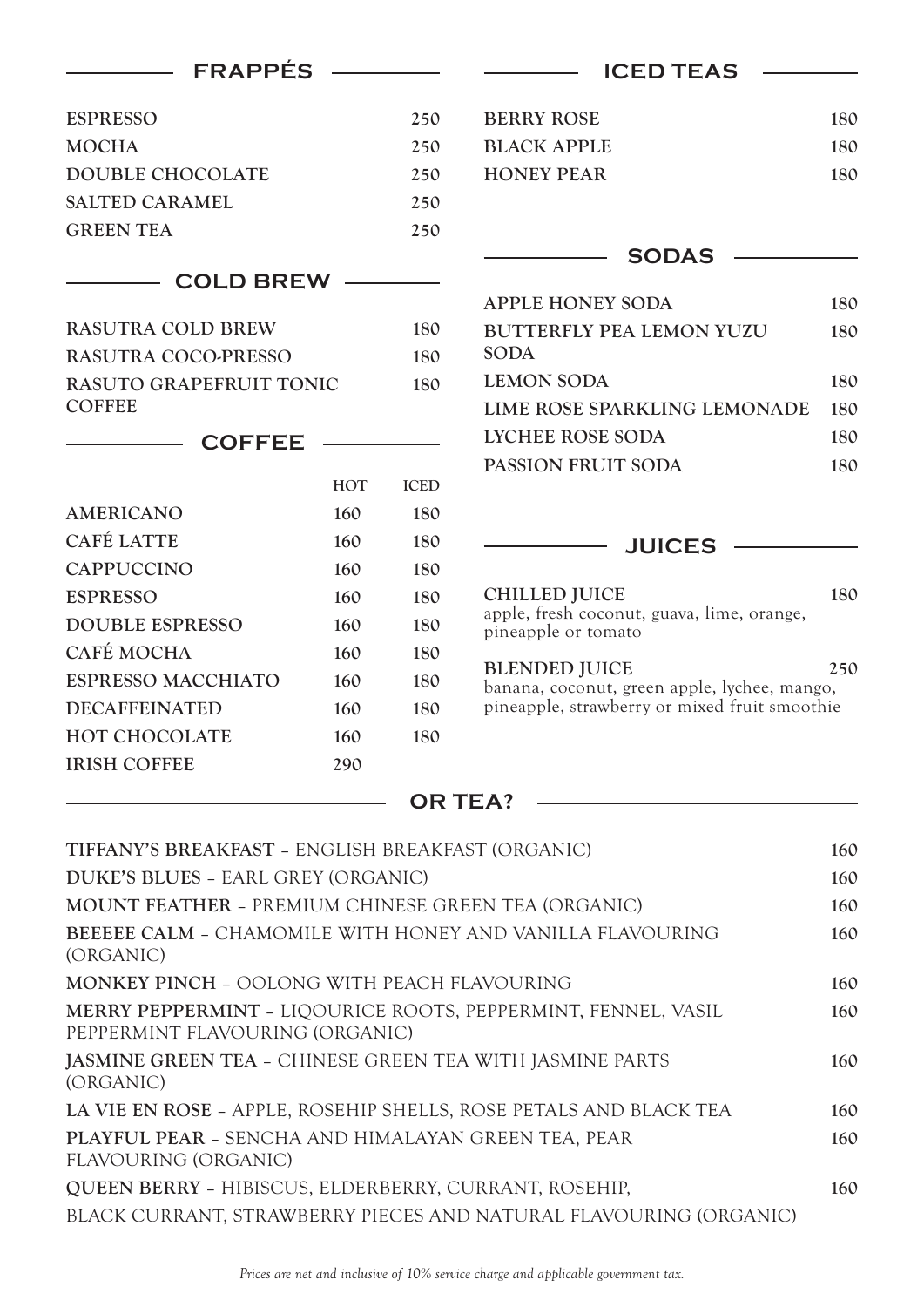| <b>FRAPPES</b>                                      |            | <b>ICED TEAS</b> |                                                                                               |     |
|-----------------------------------------------------|------------|------------------|-----------------------------------------------------------------------------------------------|-----|
| <b>ESPRESSO</b>                                     |            | 250              | <b>BERRY ROSE</b>                                                                             | 180 |
| <b>MOCHA</b>                                        |            | 250              | <b>BLACK APPLE</b>                                                                            | 180 |
| <b>DOUBLE CHOCOLATE</b>                             |            | 250              | <b>HONEY PEAR</b>                                                                             | 180 |
| <b>SALTED CARAMEL</b>                               |            | 250              |                                                                                               |     |
| <b>GREEN TEA</b>                                    |            | 250              |                                                                                               |     |
|                                                     |            |                  | <b>SODAS</b>                                                                                  |     |
| <b>COLD BREW</b>                                    |            |                  |                                                                                               |     |
|                                                     |            |                  | <b>APPLE HONEY SODA</b>                                                                       | 180 |
| <b>RASUTRA COLD BREW</b>                            |            | 180              | <b>BUTTERFLY PEA LEMON YUZU</b>                                                               | 180 |
| RASUTRA COCO-PRESSO                                 |            | 180              | <b>SODA</b>                                                                                   |     |
| RASUTO GRAPEFRUIT TONIC<br><b>COFFEE</b>            |            | 180              | <b>LEMON SODA</b>                                                                             | 180 |
|                                                     |            |                  | LIME ROSE SPARKLING LEMONADE                                                                  | 180 |
| <b>COFFEE</b>                                       |            |                  | <b>LYCHEE ROSE SODA</b>                                                                       | 180 |
|                                                     | <b>HOT</b> | <b>ICED</b>      | PASSION FRUIT SODA                                                                            | 180 |
| <b>AMERICANO</b>                                    | 160        | 180              |                                                                                               |     |
| <b>CAFÉ LATTE</b>                                   | 160        | 180              | <b>JUICES</b>                                                                                 |     |
| <b>CAPPUCCINO</b>                                   | 160        | 180              |                                                                                               |     |
| <b>ESPRESSO</b>                                     | 160        | 180              | <b>CHILLED JUICE</b>                                                                          | 180 |
| <b>DOUBLE ESPRESSO</b>                              | 160        | 180              | apple, fresh coconut, guava, lime, orange,                                                    |     |
| CAFÉ MOCHA                                          | 160        | 180              | pineapple or tomato                                                                           |     |
| <b>ESPRESSO MACCHIATO</b>                           | 160        | 180              | <b>BLENDED JUICE</b>                                                                          | 250 |
| <b>DECAFFEINATED</b>                                | 160        | 180              | banana, coconut, green apple, lychee, mango,<br>pineapple, strawberry or mixed fruit smoothie |     |
| <b>HOT CHOCOLATE</b>                                | 160        | 180              |                                                                                               |     |
| <b>IRISH COFFEE</b>                                 | 290        |                  |                                                                                               |     |
|                                                     |            |                  | <b>OR TEA?</b>                                                                                |     |
| TIFFANY'S BREAKFAST - ENGLISH BREAKFAST (ORGANIC)   |            |                  |                                                                                               | 160 |
| DUKE'S BLUES - EARL GREY (ORGANIC)                  |            |                  |                                                                                               | 160 |
| MOUNT FEATHER - PREMIUM CHINESE GREEN TEA (ORGANIC) |            |                  |                                                                                               | 160 |
|                                                     |            |                  | BEEEEE CALM - CHAMOMILE WITH HONEY AND VANILLA FLAVOURING                                     | 160 |
| (ORGANIC)                                           |            |                  |                                                                                               |     |
| MONKEY PINCH - OOLONG WITH PEACH FLAVOURING         |            |                  |                                                                                               | 160 |
|                                                     |            |                  | MERRY PEPPERMINT - LIQOURICE ROOTS, PEPPERMINT, FENNEL, VASIL                                 | 160 |

PEPPERMINT FLAVOURING (ORGANIC) **JASMINE GREEN TEA** – CHINESE GREEN TEA WITH JASMINE PARTS **160** (ORGANIC)

**LA VIE EN ROSE** – APPLE, ROSEHIP SHELLS, ROSE PETALS AND BLACK TEA **160 PLAYFUL PEAR** – SENCHA AND HIMALAYAN GREEN TEA, PEAR **160** FLAVOURING (ORGANIC) **QUEEN BERRY** – HIBISCUS, ELDERBERRY, CURRANT, ROSEHIP, **160**

BLACK CURRANT, STRAWBERRY PIECES AND NATURAL FLAVOURING (ORGANIC)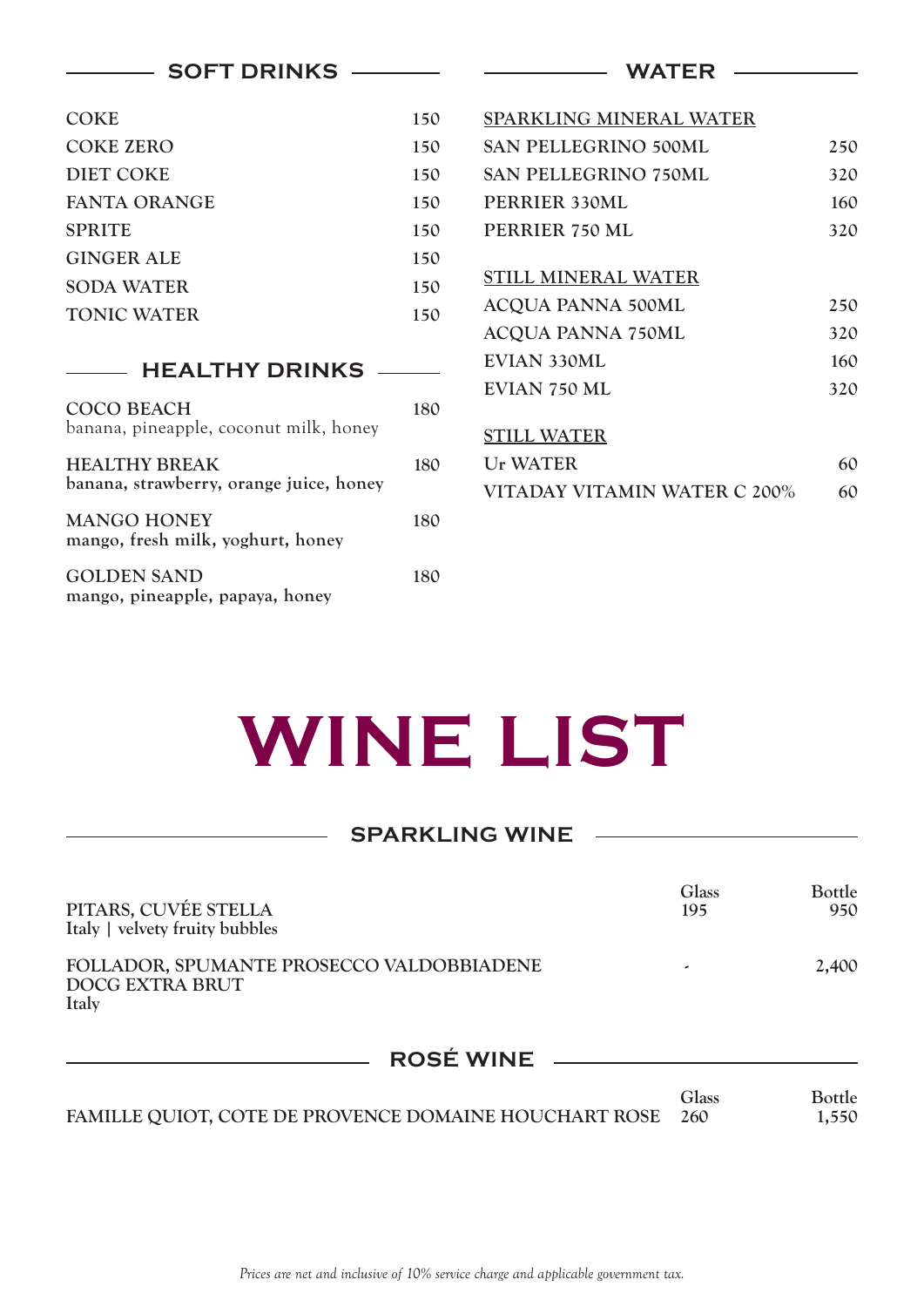| <b>SOFT DRINKS</b>                                      |     | <b>WATER</b>                 |     |
|---------------------------------------------------------|-----|------------------------------|-----|
| <b>COKE</b>                                             | 150 | SPARKLING MINERAL WATER      |     |
| <b>COKE ZERO</b>                                        | 150 | <b>SAN PELLEGRINO 500ML</b>  | 250 |
| <b>DIET COKE</b>                                        | 150 | <b>SAN PELLEGRINO 750ML</b>  | 320 |
| <b>FANTA ORANGE</b>                                     | 150 | PERRIER 330ML                | 160 |
| <b>SPRITE</b>                                           | 150 | PERRIER 750 ML               | 320 |
| <b>GINGER ALE</b>                                       | 150 |                              |     |
| <b>SODA WATER</b>                                       | 150 | <b>STILL MINERAL WATER</b>   |     |
| <b>TONIC WATER</b>                                      | 150 | <b>ACQUA PANNA 500ML</b>     | 250 |
|                                                         |     | <b>ACQUA PANNA 750ML</b>     | 320 |
| <b>HEALTHY DRINKS</b>                                   |     | EVIAN 330ML                  | 160 |
|                                                         |     | <b>EVIAN 750 ML</b>          | 320 |
| <b>COCO BEACH</b>                                       | 180 |                              |     |
| banana, pineapple, coconut milk, honey                  |     | <b>STILL WATER</b>           |     |
| <b>HEALTHY BREAK</b>                                    | 180 | <b>Ur WATER</b>              | 60  |
| banana, strawberry, orange juice, honey                 |     | VITADAY VITAMIN WATER C 200% | 60  |
| <b>MANGO HONEY</b><br>mango, fresh milk, yoghurt, honey | 180 |                              |     |
| <b>GOLDEN SAND</b><br>mango, pineapple, papaya, honey   | 180 |                              |     |

## **WINE LIST**

| <b>SPARKLING WINE</b>                                                        |              |                        |
|------------------------------------------------------------------------------|--------------|------------------------|
| PITARS, CUVÉE STELLA<br>Italy   velvety fruity bubbles                       | Glass<br>195 | <b>Bottle</b><br>950   |
| FOLLADOR, SPUMANTE PROSECCO VALDOBBIADENE<br><b>DOCG EXTRA BRUT</b><br>Italy |              | 2,400                  |
| ROSÉ WINE                                                                    |              |                        |
| FAMILLE QUIOT, COTE DE PROVENCE DOMAINE HOUCHART ROSE                        | Glass<br>260 | <b>Bottle</b><br>1,550 |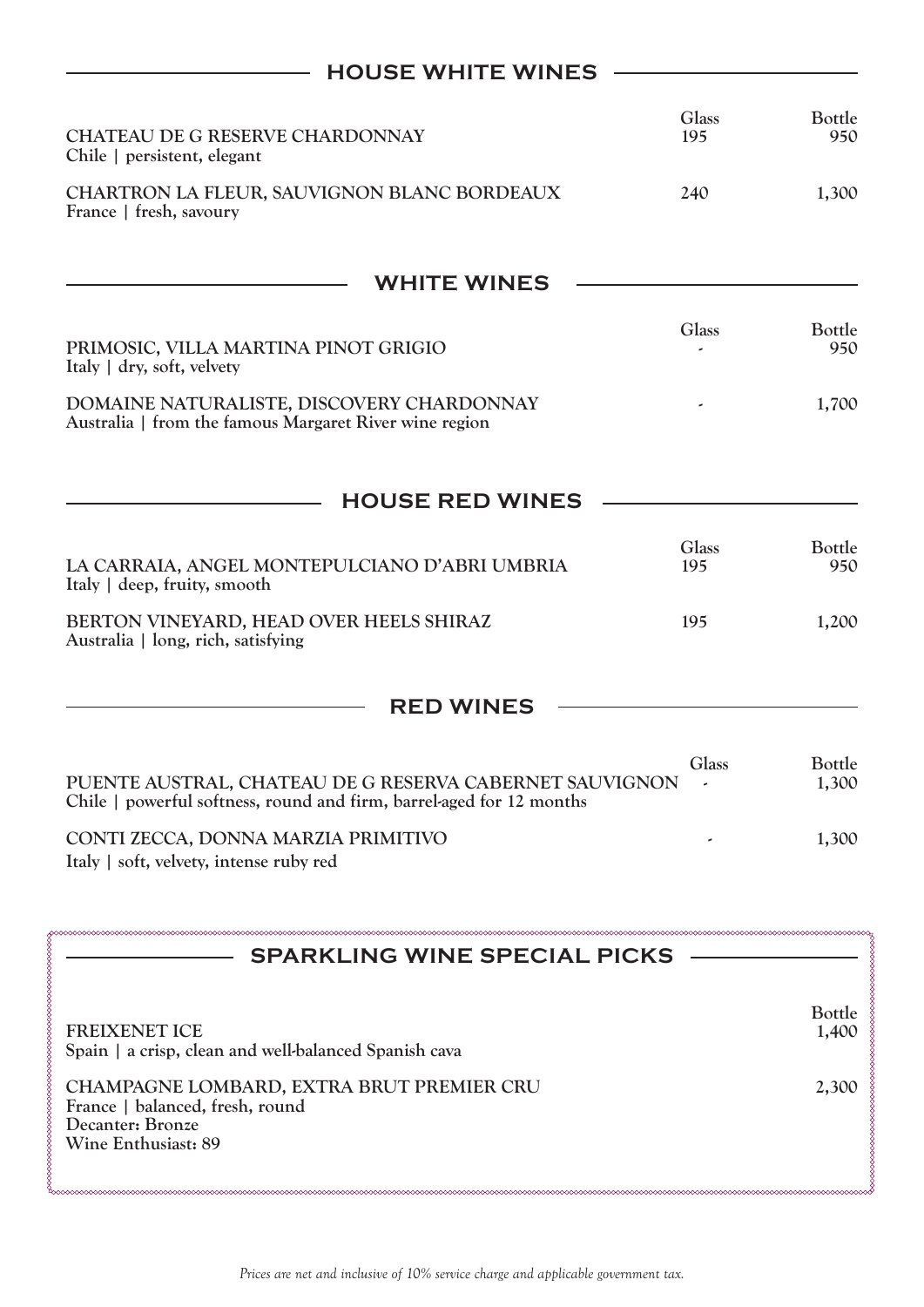## **HOUSE WHITE WINES**

| CHATEAU DE G RESERVE CHARDONNAY<br>Chile   persistent, elegant                                                                  | Glass<br>195                      | <b>Bottle</b><br>950   |
|---------------------------------------------------------------------------------------------------------------------------------|-----------------------------------|------------------------|
| CHARTRON LA FLEUR, SAUVIGNON BLANC BORDEAUX<br>France   fresh, savoury                                                          | 240                               | 1,300                  |
| <b>WHITE WINES</b>                                                                                                              |                                   |                        |
| PRIMOSIC, VILLA MARTINA PINOT GRIGIO<br>Italy   dry, soft, velvety                                                              | <b>Glass</b>                      | Bottle<br>950          |
| DOMAINE NATURALISTE, DISCOVERY CHARDONNAY<br>Australia   from the famous Margaret River wine region                             |                                   | 1,700                  |
| <b>HOUSE RED WINES</b>                                                                                                          |                                   |                        |
| LA CARRAIA, ANGEL MONTEPULCIANO D'ABRI UMBRIA<br>Italy   deep, fruity, smooth                                                   | <b>Glass</b><br>195               | Bottle<br>950          |
| BERTON VINEYARD, HEAD OVER HEELS SHIRAZ<br>Australia   long, rich, satisfying                                                   | 195                               | 1,200                  |
| <b>RED WINES</b>                                                                                                                |                                   |                        |
| PUENTE AUSTRAL, CHATEAU DE G RESERVA CABERNET SAUVIGNON<br>Chile   powerful softness, round and firm, barrel-aged for 12 months | Glass<br>$\overline{\phantom{a}}$ | Bottle<br>1,300        |
| CONTI ZECCA, DONNA MARZIA PRIMITIVO<br>Italy   soft, velvety, intense ruby red                                                  |                                   | 1,300                  |
| <b>SPARKLING WINE SPECIAL PICKS</b>                                                                                             |                                   |                        |
| <b>FREIXENET ICE</b><br>Spain   a crisp, clean and well-balanced Spanish cava                                                   |                                   | <b>Bottle</b><br>1,400 |
| CHAMPAGNE LOMBARD, EXTRA BRUT PREMIER CRU<br>France   balanced, fresh, round<br>Decanter: Bronze<br>Wine Enthusiast: 89         |                                   | 2,300                  |

successive continuous continuous continuous continuous continuous continuous continuous continuous continuous continuous continuous continuous continuous continuous continuous continuous continuous continuous continuous con